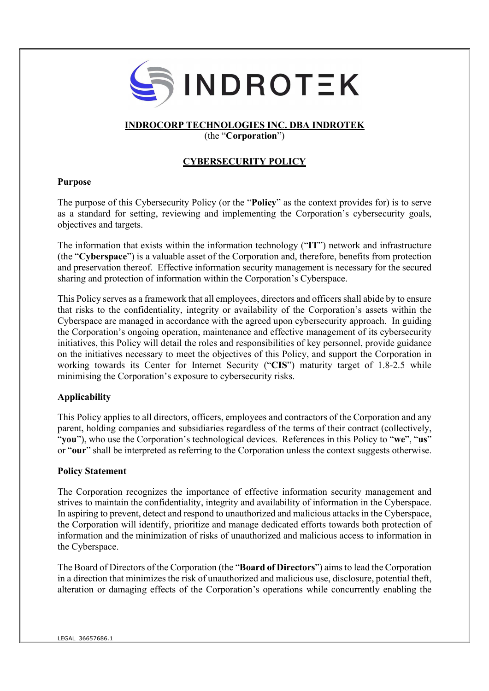

# INDROCORP TECHNOLOGIES INC. DBA INDROTEK

(the "Corporation")

# CYBERSECURITY POLICY

# Purpose

The purpose of this Cybersecurity Policy (or the "Policy" as the context provides for) is to serve as a standard for setting, reviewing and implementing the Corporation's cybersecurity goals, objectives and targets.

The information that exists within the information technology ("IT") network and infrastructure (the "Cyberspace") is a valuable asset of the Corporation and, therefore, benefits from protection and preservation thereof. Effective information security management is necessary for the secured sharing and protection of information within the Corporation's Cyberspace.

This Policy serves as a framework that all employees, directors and officers shall abide by to ensure that risks to the confidentiality, integrity or availability of the Corporation's assets within the Cyberspace are managed in accordance with the agreed upon cybersecurity approach. In guiding the Corporation's ongoing operation, maintenance and effective management of its cybersecurity initiatives, this Policy will detail the roles and responsibilities of key personnel, provide guidance on the initiatives necessary to meet the objectives of this Policy, and support the Corporation in working towards its Center for Internet Security ("CIS") maturity target of 1.8-2.5 while minimising the Corporation's exposure to cybersecurity risks.

# Applicability

This Policy applies to all directors, officers, employees and contractors of the Corporation and any parent, holding companies and subsidiaries regardless of the terms of their contract (collectively, "you"), who use the Corporation's technological devices. References in this Policy to "we", "us" or "our" shall be interpreted as referring to the Corporation unless the context suggests otherwise.

# Policy Statement

The Corporation recognizes the importance of effective information security management and strives to maintain the confidentiality, integrity and availability of information in the Cyberspace. In aspiring to prevent, detect and respond to unauthorized and malicious attacks in the Cyberspace, the Corporation will identify, prioritize and manage dedicated efforts towards both protection of information and the minimization of risks of unauthorized and malicious access to information in the Cyberspace.

The Board of Directors of the Corporation (the "Board of Directors") aims to lead the Corporation in a direction that minimizes the risk of unauthorized and malicious use, disclosure, potential theft, alteration or damaging effects of the Corporation's operations while concurrently enabling the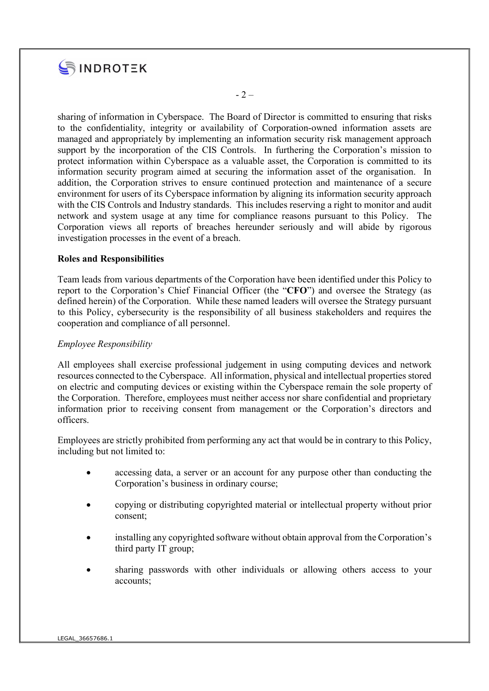

sharing of information in Cyberspace. The Board of Director is committed to ensuring that risks to the confidentiality, integrity or availability of Corporation-owned information assets are managed and appropriately by implementing an information security risk management approach support by the incorporation of the CIS Controls. In furthering the Corporation's mission to protect information within Cyberspace as a valuable asset, the Corporation is committed to its information security program aimed at securing the information asset of the organisation. In addition, the Corporation strives to ensure continued protection and maintenance of a secure environment for users of its Cyberspace information by aligning its information security approach with the CIS Controls and Industry standards. This includes reserving a right to monitor and audit network and system usage at any time for compliance reasons pursuant to this Policy. The Corporation views all reports of breaches hereunder seriously and will abide by rigorous investigation processes in the event of a breach.

# Roles and Responsibilities

Team leads from various departments of the Corporation have been identified under this Policy to report to the Corporation's Chief Financial Officer (the "CFO") and oversee the Strategy (as defined herein) of the Corporation. While these named leaders will oversee the Strategy pursuant to this Policy, cybersecurity is the responsibility of all business stakeholders and requires the cooperation and compliance of all personnel.

#### Employee Responsibility

All employees shall exercise professional judgement in using computing devices and network resources connected to the Cyberspace. All information, physical and intellectual properties stored on electric and computing devices or existing within the Cyberspace remain the sole property of the Corporation. Therefore, employees must neither access nor share confidential and proprietary information prior to receiving consent from management or the Corporation's directors and officers.

Employees are strictly prohibited from performing any act that would be in contrary to this Policy, including but not limited to:

- accessing data, a server or an account for any purpose other than conducting the Corporation's business in ordinary course;
- copying or distributing copyrighted material or intellectual property without prior consent;
- installing any copyrighted software without obtain approval from the Corporation's third party IT group;
- sharing passwords with other individuals or allowing others access to your accounts;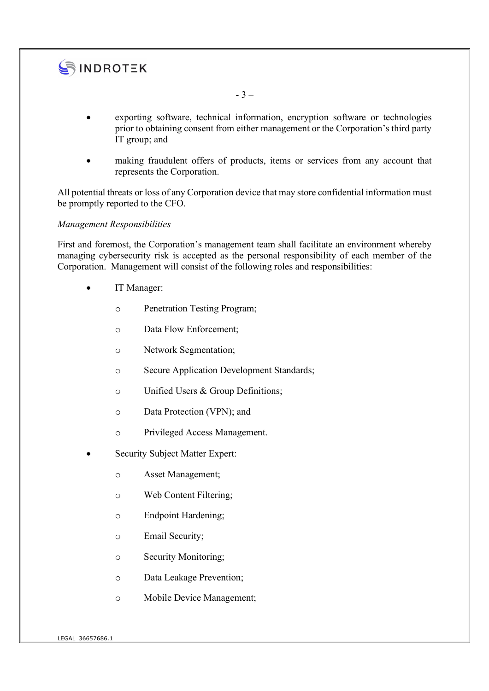

- exporting software, technical information, encryption software or technologies prior to obtaining consent from either management or the Corporation's third party IT group; and
- making fraudulent offers of products, items or services from any account that represents the Corporation.

All potential threats or loss of any Corporation device that may store confidential information must be promptly reported to the CFO.

#### Management Responsibilities

First and foremost, the Corporation's management team shall facilitate an environment whereby managing cybersecurity risk is accepted as the personal responsibility of each member of the Corporation. Management will consist of the following roles and responsibilities:

- IT Manager:
	- o Penetration Testing Program;
	- o Data Flow Enforcement;
	- o Network Segmentation;
	- o Secure Application Development Standards;
	- o Unified Users & Group Definitions;
	- o Data Protection (VPN); and
	- o Privileged Access Management.
- Security Subject Matter Expert:
	- o Asset Management;
	- o Web Content Filtering;
	- o Endpoint Hardening;
	- o Email Security;
	- o Security Monitoring;
	- o Data Leakage Prevention;
	- o Mobile Device Management;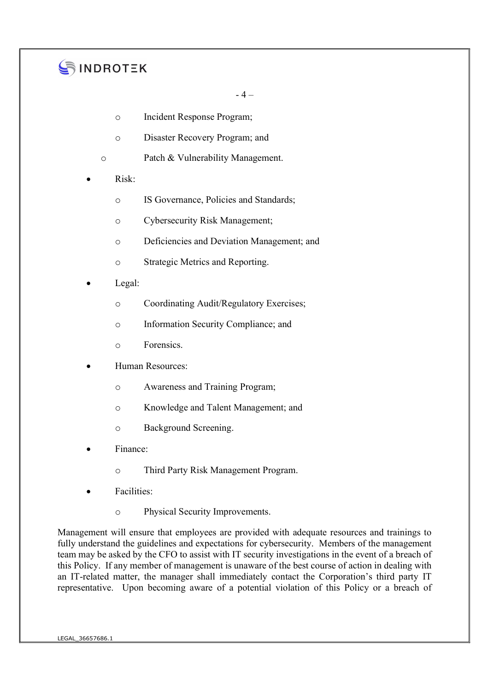# SINDROTEK

 $-4-$ 

- o Incident Response Program;
- o Disaster Recovery Program; and
- o Patch & Vulnerability Management.
- Risk:
	- o IS Governance, Policies and Standards;
	- o Cybersecurity Risk Management;
	- o Deficiencies and Deviation Management; and
	- o Strategic Metrics and Reporting.
- Legal:
	- o Coordinating Audit/Regulatory Exercises;
	- o Information Security Compliance; and
	- o Forensics.
- Human Resources:
	- o Awareness and Training Program;
	- o Knowledge and Talent Management; and
	- o Background Screening.
- Finance:
	- o Third Party Risk Management Program.
- Facilities:
	- o Physical Security Improvements.

Management will ensure that employees are provided with adequate resources and trainings to fully understand the guidelines and expectations for cybersecurity. Members of the management team may be asked by the CFO to assist with IT security investigations in the event of a breach of this Policy. If any member of management is unaware of the best course of action in dealing with an IT-related matter, the manager shall immediately contact the Corporation's third party IT representative. Upon becoming aware of a potential violation of this Policy or a breach of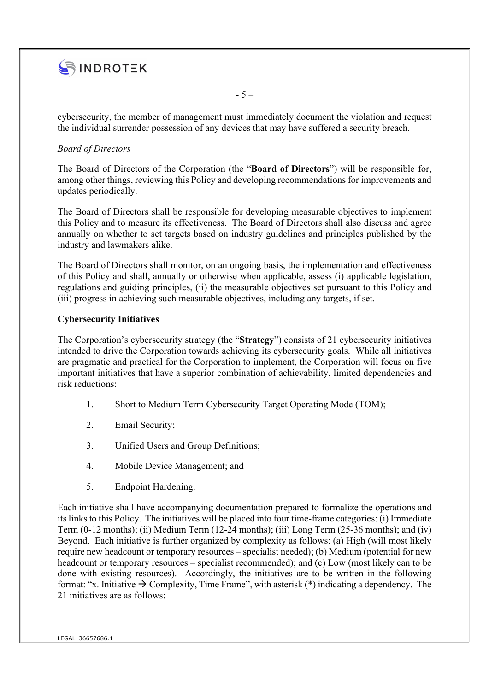

cybersecurity, the member of management must immediately document the violation and request the individual surrender possession of any devices that may have suffered a security breach.

 $-5 -$ 

# Board of Directors

The Board of Directors of the Corporation (the "Board of Directors") will be responsible for, among other things, reviewing this Policy and developing recommendations for improvements and updates periodically.

The Board of Directors shall be responsible for developing measurable objectives to implement this Policy and to measure its effectiveness. The Board of Directors shall also discuss and agree annually on whether to set targets based on industry guidelines and principles published by the industry and lawmakers alike.

The Board of Directors shall monitor, on an ongoing basis, the implementation and effectiveness of this Policy and shall, annually or otherwise when applicable, assess (i) applicable legislation, regulations and guiding principles, (ii) the measurable objectives set pursuant to this Policy and (iii) progress in achieving such measurable objectives, including any targets, if set.

# Cybersecurity Initiatives

The Corporation's cybersecurity strategy (the "Strategy") consists of 21 cybersecurity initiatives intended to drive the Corporation towards achieving its cybersecurity goals. While all initiatives are pragmatic and practical for the Corporation to implement, the Corporation will focus on five important initiatives that have a superior combination of achievability, limited dependencies and risk reductions:

- 1. Short to Medium Term Cybersecurity Target Operating Mode (TOM);
- 2. Email Security;
- 3. Unified Users and Group Definitions;
- 4. Mobile Device Management; and
- 5. Endpoint Hardening.

Each initiative shall have accompanying documentation prepared to formalize the operations and its links to this Policy. The initiatives will be placed into four time-frame categories: (i) Immediate Term (0-12 months); (ii) Medium Term (12-24 months); (iii) Long Term (25-36 months); and (iv) Beyond. Each initiative is further organized by complexity as follows: (a) High (will most likely require new headcount or temporary resources – specialist needed); (b) Medium (potential for new headcount or temporary resources – specialist recommended); and (c) Low (most likely can to be done with existing resources). Accordingly, the initiatives are to be written in the following format: "x. Initiative  $\rightarrow$  Complexity, Time Frame", with asterisk (\*) indicating a dependency. The 21 initiatives are as follows: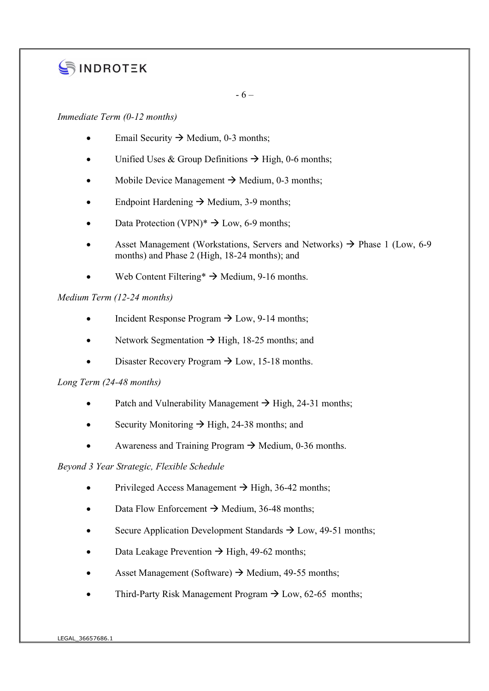# SINDROTEK

 $-6-$ 

# Immediate Term (0-12 months)

- Email Security  $\rightarrow$  Medium, 0-3 months;
- Unified Uses & Group Definitions  $\rightarrow$  High, 0-6 months;
- Mobile Device Management  $\rightarrow$  Medium, 0-3 months;
- Endpoint Hardening  $\rightarrow$  Medium, 3-9 months;
- Data Protection (VPN)\*  $\rightarrow$  Low, 6-9 months;
- Asset Management (Workstations, Servers and Networks)  $\rightarrow$  Phase 1 (Low, 6-9) months) and Phase 2 (High, 18-24 months); and
- Web Content Filtering\*  $\rightarrow$  Medium, 9-16 months.

# Medium Term (12-24 months)

- Incident Response Program  $\rightarrow$  Low, 9-14 months;
- Network Segmentation  $\rightarrow$  High, 18-25 months; and
- Disaster Recovery Program  $\rightarrow$  Low, 15-18 months.

# Long Term (24-48 months)

- Patch and Vulnerability Management  $\rightarrow$  High, 24-31 months;
- Security Monitoring  $\rightarrow$  High, 24-38 months; and
- Awareness and Training Program  $\rightarrow$  Medium, 0-36 months.

# Beyond 3 Year Strategic, Flexible Schedule

- Privileged Access Management  $\rightarrow$  High, 36-42 months;
- Data Flow Enforcement  $\rightarrow$  Medium, 36-48 months;
- Secure Application Development Standards  $\rightarrow$  Low, 49-51 months;
- $\bullet$  Data Leakage Prevention  $\rightarrow$  High, 49-62 months;
- Asset Management (Software)  $\rightarrow$  Medium, 49-55 months;
- Third-Party Risk Management Program  $\rightarrow$  Low, 62-65 months;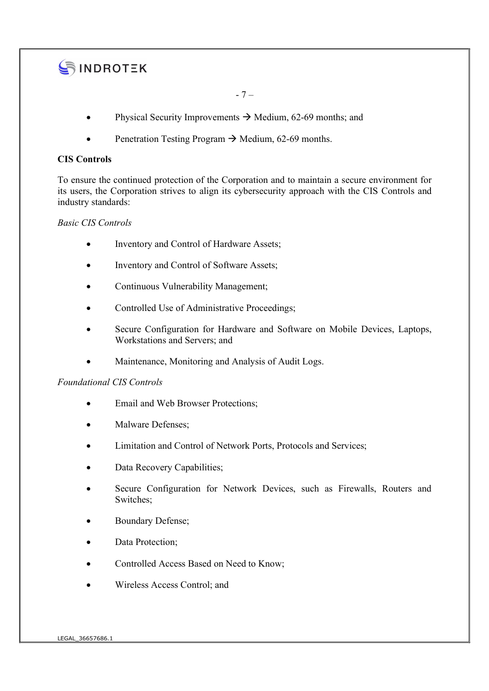

 $-7-$ 

- Physical Security Improvements  $\rightarrow$  Medium, 62-69 months; and
- Penetration Testing Program  $\rightarrow$  Medium, 62-69 months.

# CIS Controls

To ensure the continued protection of the Corporation and to maintain a secure environment for its users, the Corporation strives to align its cybersecurity approach with the CIS Controls and industry standards:

#### Basic CIS Controls

- Inventory and Control of Hardware Assets;
- Inventory and Control of Software Assets;
- Continuous Vulnerability Management;
- Controlled Use of Administrative Proceedings;
- Secure Configuration for Hardware and Software on Mobile Devices, Laptops, Workstations and Servers; and
- Maintenance, Monitoring and Analysis of Audit Logs.

# Foundational CIS Controls

- Email and Web Browser Protections;
- Malware Defenses;
- Limitation and Control of Network Ports, Protocols and Services;
- Data Recovery Capabilities;
- Secure Configuration for Network Devices, such as Firewalls, Routers and Switches;
- Boundary Defense;
- Data Protection;
- Controlled Access Based on Need to Know;
- Wireless Access Control; and